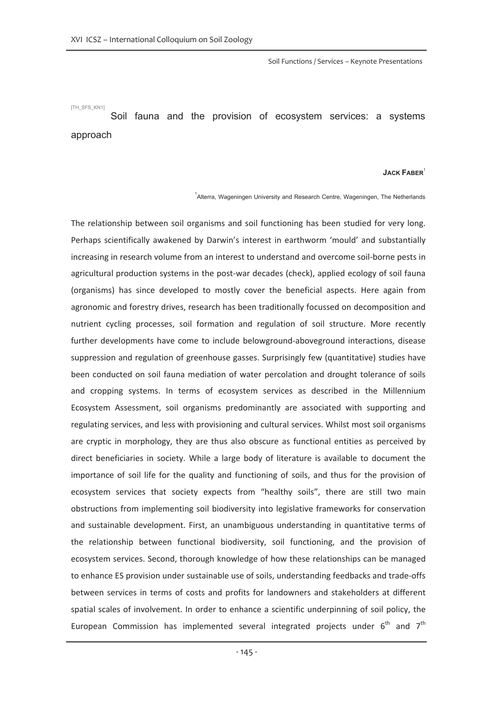Soil Functions / Services – Keynote Presentations

[TH\_SFS\_KN1]

Soil fauna and the provision of ecosystem services: a systems approach

## **JACK FABER**<sup>1</sup>

 $^{1}$ Alterra, Wageningen University and Research Centre, Wageningen, The Netherlands

The relationship between soil organisms and soil functioning has been studied for very long. Perhaps scientifically awakened by Darwin's interest in earthworm 'mould' and substantially increasing in research volume from an interest to understand and overcome soil-borne pests in agricultural production systems in the post-war decades (check), applied ecology of soil fauna (organisms) has since developed to mostly cover the beneficial aspects. Here again from agronomic and forestry drives, research has been traditionally focussed on decomposition and nutrient cycling processes, soil formation and regulation of soil structure. More recently further developments have come to include belowground-aboveground interactions, disease suppression and regulation of greenhouse gasses. Surprisingly few (quantitative) studies have been conducted on soil fauna mediation of water percolation and drought tolerance of soils and cropping systems. In terms of ecosystem services as described in the Millennium Ecosystem Assessment, soil organisms predominantly are associated with supporting and regulating services, and less with provisioning and cultural services. Whilst most soil organisms are cryptic in morphology, they are thus also obscure as functional entities as perceived by direct beneficiaries in society. While a large body of literature is available to document the importance of soil life for the quality and functioning of soils, and thus for the provision of ecosystem services that society expects from "healthy soils", there are still two main obstructions from implementing soil biodiversity into legislative frameworks for conservation and sustainable development. First, an unambiguous understanding in quantitative terms of the relationship between functional biodiversity, soil functioning, and the provision of ecosystem services. Second, thorough knowledge of how these relationships can be managed to enhance ES provision under sustainable use of soils, understanding feedbacks and trade-offs between services in terms of costs and profits for landowners and stakeholders at different spatial scales of involvement. In order to enhance a scientific underpinning of soil policy, the European Commission has implemented several integrated projects under  $6<sup>th</sup>$  and  $7<sup>th</sup>$